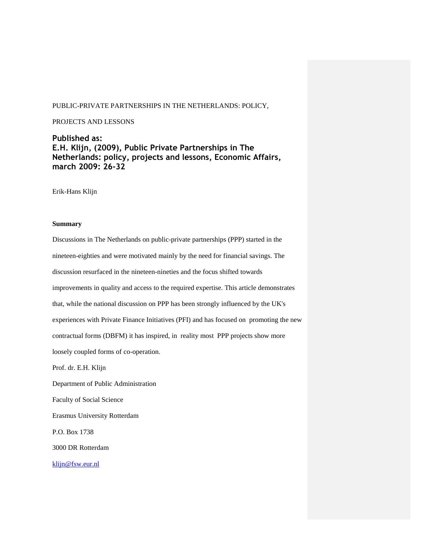### PUBLIC-PRIVATE PARTNERSHIPS IN THE NETHERLANDS: POLICY,

#### PROJECTS AND LESSONS

# **Published as: E.H. Klijn, (2009), Public Private Partnerships in The Netherlands: policy, projects and lessons, Economic Affairs, march 2009: 26-32**

Erik-Hans Klijn

## **Summary**

Discussions in The Netherlands on public-private partnerships (PPP) started in the nineteen-eighties and were motivated mainly by the need for financial savings. The discussion resurfaced in the nineteen-nineties and the focus shifted towards improvements in quality and access to the required expertise. This article demonstrates that, while the national discussion on PPP has been strongly influenced by the UK's experiences with Private Finance Initiatives (PFI) and has focused on promoting the new contractual forms (DBFM) it has inspired, in reality most PPP projects show more loosely coupled forms of co-operation. Prof. dr. E.H. Klijn Department of Public Administration Faculty of Social Science Erasmus University Rotterdam P.O. Box 1738 3000 DR Rotterdam [klijn@fsw.eur.nl](mailto:klijn@fsw.eur.nl)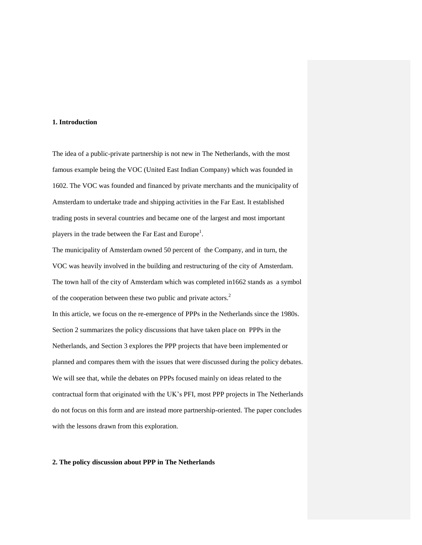#### **1. Introduction**

The idea of a public-private partnership is not new in The Netherlands, with the most famous example being the VOC (United East Indian Company) which was founded in 1602. The VOC was founded and financed by private merchants and the municipality of Amsterdam to undertake trade and shipping activities in the Far East. It established trading posts in several countries and became one of the largest and most important players in the trade between the Far East and Europe<sup>1</sup>.

The municipality of Amsterdam owned 50 percent of the Company, and in turn, the VOC was heavily involved in the building and restructuring of the city of Amsterdam. The town hall of the city of Amsterdam which was completed in1662 stands as a symbol of the cooperation between these two public and private actors.<sup>2</sup> In this article, we focus on the re-emergence of PPPs in the Netherlands since the 1980s. Section 2 summarizes the policy discussions that have taken place on PPPs in the Netherlands, and Section 3 explores the PPP projects that have been implemented or planned and compares them with the issues that were discussed during the policy debates. We will see that, while the debates on PPPs focused mainly on ideas related to the contractual form that originated with the UK's PFI, most PPP projects in The Netherlands do not focus on this form and are instead more partnership-oriented. The paper concludes with the lessons drawn from this exploration.

## **2. The policy discussion about PPP in The Netherlands**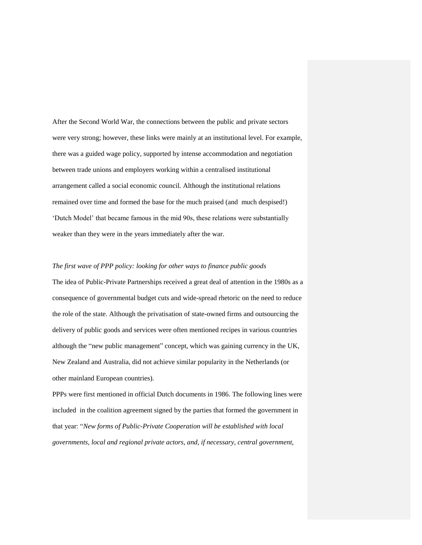After the Second World War, the connections between the public and private sectors were very strong; however, these links were mainly at an institutional level. For example, there was a guided wage policy, supported by intense accommodation and negotiation between trade unions and employers working within a centralised institutional arrangement called a social economic council. Although the institutional relations remained over time and formed the base for the much praised (and much despised!) 'Dutch Model' that became famous in the mid 90s, these relations were substantially weaker than they were in the years immediately after the war.

## *The first wave of PPP policy: looking for other ways to finance public goods*

The idea of Public-Private Partnerships received a great deal of attention in the 1980s as a consequence of governmental budget cuts and wide-spread rhetoric on the need to reduce the role of the state. Although the privatisation of state-owned firms and outsourcing the delivery of public goods and services were often mentioned recipes in various countries although the "new public management" concept, which was gaining currency in the UK, New Zealand and Australia, did not achieve similar popularity in the Netherlands (or other mainland European countries).

PPPs were first mentioned in official Dutch documents in 1986. The following lines were included in the coalition agreement signed by the parties that formed the government in that year: "*New forms of Public-Private Cooperation will be established with local governments, local and regional private actors, and, if necessary, central government,*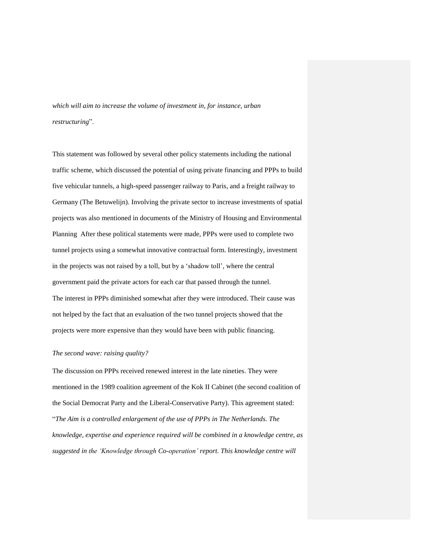*which will aim to increase the volume of investment in, for instance, urban restructuring*".

This statement was followed by several other policy statements including the national traffic scheme, which discussed the potential of using private financing and PPPs to build five vehicular tunnels, a high-speed passenger railway to Paris, and a freight railway to Germany (The Betuwelijn). Involving the private sector to increase investments of spatial projects was also mentioned in documents of the Ministry of Housing and Environmental Planning After these political statements were made, PPPs were used to complete two tunnel projects using a somewhat innovative contractual form. Interestingly, investment in the projects was not raised by a toll, but by a 'shadow toll', where the central government paid the private actors for each car that passed through the tunnel. The interest in PPPs diminished somewhat after they were introduced. Their cause was not helped by the fact that an evaluation of the two tunnel projects showed that the projects were more expensive than they would have been with public financing.

#### *The second wave: raising quality?*

The discussion on PPPs received renewed interest in the late nineties. They were mentioned in the 1989 coalition agreement of the Kok II Cabinet (the second coalition of the Social Democrat Party and the Liberal-Conservative Party). This agreement stated: "*The Aim is a controlled enlargement of the use of PPPs in The Netherlands. The knowledge, expertise and experience required will be combined in a knowledge centre, as suggested in the 'Knowledge through Co-operation' report. This knowledge centre will*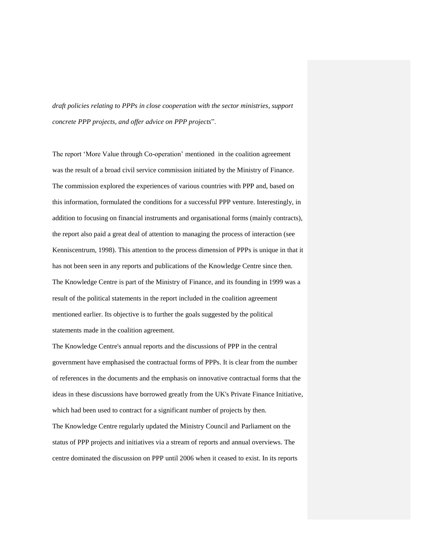*draft policies relating to PPPs in close cooperation with the sector ministries, support concrete PPP projects, and offer advice on PPP projects*".

The report 'More Value through Co-operation' mentioned in the coalition agreement was the result of a broad civil service commission initiated by the Ministry of Finance. The commission explored the experiences of various countries with PPP and, based on this information, formulated the conditions for a successful PPP venture. Interestingly, in addition to focusing on financial instruments and organisational forms (mainly contracts), the report also paid a great deal of attention to managing the process of interaction (see Kenniscentrum, 1998). This attention to the process dimension of PPPs is unique in that it has not been seen in any reports and publications of the Knowledge Centre since then. The Knowledge Centre is part of the Ministry of Finance, and its founding in 1999 was a result of the political statements in the report included in the coalition agreement mentioned earlier. Its objective is to further the goals suggested by the political statements made in the coalition agreement.

The Knowledge Centre's annual reports and the discussions of PPP in the central government have emphasised the contractual forms of PPPs. It is clear from the number of references in the documents and the emphasis on innovative contractual forms that the ideas in these discussions have borrowed greatly from the UK's Private Finance Initiative, which had been used to contract for a significant number of projects by then.

The Knowledge Centre regularly updated the Ministry Council and Parliament on the status of PPP projects and initiatives via a stream of reports and annual overviews. The centre dominated the discussion on PPP until 2006 when it ceased to exist. In its reports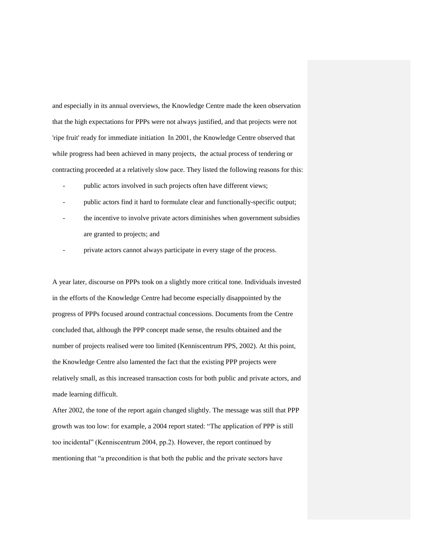and especially in its annual overviews, the Knowledge Centre made the keen observation that the high expectations for PPPs were not always justified, and that projects were not 'ripe fruit' ready for immediate initiation In 2001, the Knowledge Centre observed that while progress had been achieved in many projects, the actual process of tendering or contracting proceeded at a relatively slow pace. They listed the following reasons for this:

- public actors involved in such projects often have different views;
- public actors find it hard to formulate clear and functionally-specific output;
- the incentive to involve private actors diminishes when government subsidies are granted to projects; and
- private actors cannot always participate in every stage of the process.

A year later, discourse on PPPs took on a slightly more critical tone. Individuals invested in the efforts of the Knowledge Centre had become especially disappointed by the progress of PPPs focused around contractual concessions. Documents from the Centre concluded that, although the PPP concept made sense, the results obtained and the number of projects realised were too limited (Kenniscentrum PPS, 2002). At this point, the Knowledge Centre also lamented the fact that the existing PPP projects were relatively small, as this increased transaction costs for both public and private actors, and made learning difficult.

After 2002, the tone of the report again changed slightly. The message was still that PPP growth was too low: for example, a 2004 report stated: "The application of PPP is still too incidental" (Kenniscentrum 2004, pp.2). However, the report continued by mentioning that "a precondition is that both the public and the private sectors have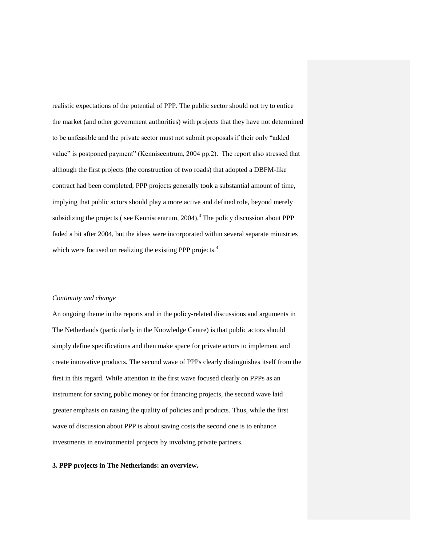realistic expectations of the potential of PPP. The public sector should not try to entice the market (and other government authorities) with projects that they have not determined to be unfeasible and the private sector must not submit proposals if their only "added value" is postponed payment" (Kenniscentrum, 2004 pp.2). The report also stressed that although the first projects (the construction of two roads) that adopted a DBFM-like contract had been completed, PPP projects generally took a substantial amount of time, implying that public actors should play a more active and defined role, beyond merely subsidizing the projects (see Kenniscentrum,  $2004$ ).<sup>3</sup> The policy discussion about PPP faded a bit after 2004, but the ideas were incorporated within several separate ministries which were focused on realizing the existing PPP projects.<sup>4</sup>

#### *Continuity and change*

An ongoing theme in the reports and in the policy-related discussions and arguments in The Netherlands (particularly in the Knowledge Centre) is that public actors should simply define specifications and then make space for private actors to implement and create innovative products. The second wave of PPPs clearly distinguishes itself from the first in this regard. While attention in the first wave focused clearly on PPPs as an instrument for saving public money or for financing projects, the second wave laid greater emphasis on raising the quality of policies and products. Thus, while the first wave of discussion about PPP is about saving costs the second one is to enhance investments in environmental projects by involving private partners.

#### **3. PPP projects in The Netherlands: an overview.**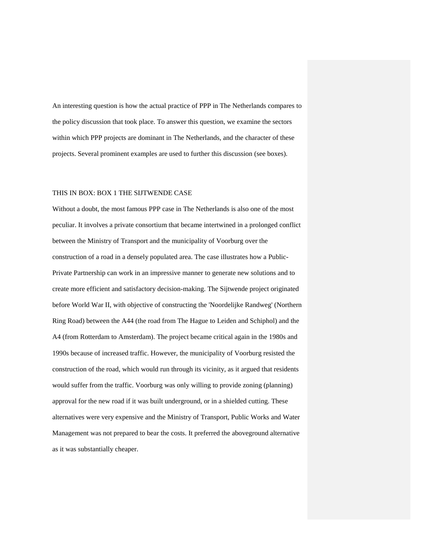An interesting question is how the actual practice of PPP in The Netherlands compares to the policy discussion that took place. To answer this question, we examine the sectors within which PPP projects are dominant in The Netherlands, and the character of these projects. Several prominent examples are used to further this discussion (see boxes).

#### THIS IN BOX: BOX 1 THE SIJTWENDE CASE

Without a doubt, the most famous PPP case in The Netherlands is also one of the most peculiar. It involves a private consortium that became intertwined in a prolonged conflict between the Ministry of Transport and the municipality of Voorburg over the construction of a road in a densely populated area. The case illustrates how a Public-Private Partnership can work in an impressive manner to generate new solutions and to create more efficient and satisfactory decision-making. The Sijtwende project originated before World War II, with objective of constructing the 'Noordelijke Randweg' (Northern Ring Road) between the A44 (the road from The Hague to Leiden and Schiphol) and the A4 (from Rotterdam to Amsterdam). The project became critical again in the 1980s and 1990s because of increased traffic. However, the municipality of Voorburg resisted the construction of the road, which would run through its vicinity, as it argued that residents would suffer from the traffic. Voorburg was only willing to provide zoning (planning) approval for the new road if it was built underground, or in a shielded cutting. These alternatives were very expensive and the Ministry of Transport, Public Works and Water Management was not prepared to bear the costs. It preferred the aboveground alternative as it was substantially cheaper.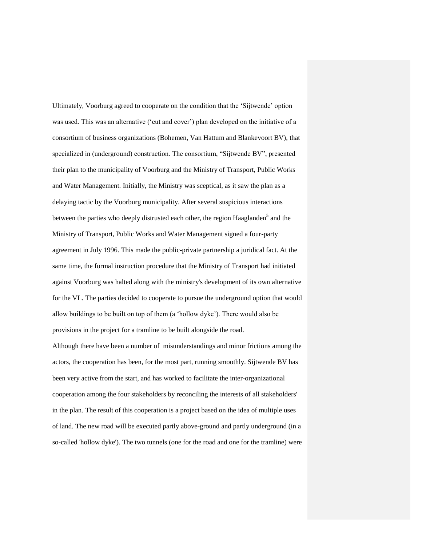Ultimately, Voorburg agreed to cooperate on the condition that the 'Sijtwende' option was used. This was an alternative ('cut and cover') plan developed on the initiative of a consortium of business organizations (Bohemen, Van Hattum and Blankevoort BV), that specialized in (underground) construction. The consortium, "Sijtwende BV", presented their plan to the municipality of Voorburg and the Ministry of Transport, Public Works and Water Management. Initially, the Ministry was sceptical, as it saw the plan as a delaying tactic by the Voorburg municipality. After several suspicious interactions between the parties who deeply distrusted each other, the region Haaglanden<sup>5</sup> and the Ministry of Transport, Public Works and Water Management signed a four-party agreement in July 1996. This made the public-private partnership a juridical fact. At the same time, the formal instruction procedure that the Ministry of Transport had initiated against Voorburg was halted along with the ministry's development of its own alternative for the VL. The parties decided to cooperate to pursue the underground option that would allow buildings to be built on top of them (a 'hollow dyke'). There would also be provisions in the project for a tramline to be built alongside the road.

Although there have been a number of misunderstandings and minor frictions among the actors, the cooperation has been, for the most part, running smoothly. Sijtwende BV has been very active from the start, and has worked to facilitate the inter-organizational cooperation among the four stakeholders by reconciling the interests of all stakeholders' in the plan. The result of this cooperation is a project based on the idea of multiple uses of land. The new road will be executed partly above-ground and partly underground (in a so-called 'hollow dyke'). The two tunnels (one for the road and one for the tramline) were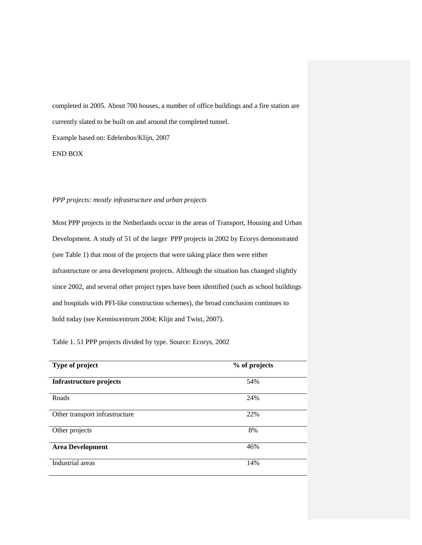completed in 2005. About 700 houses, a number of office buildings and a fire station are currently slated to be built on and around the completed tunnel. Example based on: Edelenbos/Klijn, 2007 END BOX

## *PPP projects: mostly infrastructure and urban projects*

Most PPP projects in the Netherlands occur in the areas of Transport, Housing and Urban Development. A study of 51 of the larger PPP projects in 2002 by Ecorys demonstrated (see Table 1) that most of the projects that were taking place then were either infrastructure or area development projects. Although the situation has changed slightly since 2002, and several other project types have been identified (such as school buildings and hospitals with PFI-like construction schemes), the broad conclusion continues to hold today (see Kenniscentrum 2004; Klijn and Twist, 2007).

Table 1. 51 PPP projects divided by type. Source: Ecorys, 2002

| Type of project                | % of projects |
|--------------------------------|---------------|
| Infrastructure projects        | 54%           |
| Roads                          | 24%           |
| Other transport infrastructure | 22%           |
| Other projects                 | 8%            |
| <b>Area Development</b>        | 46%           |
| Industrial areas               | 14%           |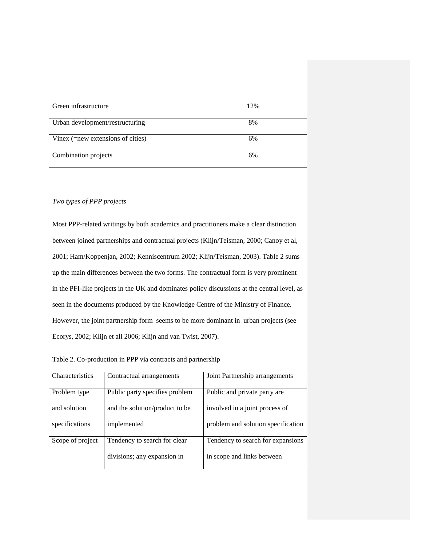| Green infrastructure                    | 12% |
|-----------------------------------------|-----|
| Urban development/restructuring         | 8%  |
| Vinex $($ =new extensions of cities $)$ | 6%  |
| Combination projects                    | 6%  |

## *Two types of PPP projects*

Most PPP-related writings by both academics and practitioners make a clear distinction between joined partnerships and contractual projects (Klijn/Teisman, 2000; Canoy et al, 2001; Ham/Koppenjan, 2002; Kenniscentrum 2002; Klijn/Teisman, 2003). Table 2 sums up the main differences between the two forms. The contractual form is very prominent in the PFI-like projects in the UK and dominates policy discussions at the central level, as seen in the documents produced by the Knowledge Centre of the Ministry of Finance. However, the joint partnership form seems to be more dominant in urban projects (see Ecorys, 2002; Klijn et all 2006; Klijn and van Twist, 2007).

Table 2. Co-production in PPP via contracts and partnership

| Characteristics  | Contractual arrangements       | Joint Partnership arrangements     |  |  |
|------------------|--------------------------------|------------------------------------|--|--|
| Problem type     | Public party specifies problem | Public and private party are       |  |  |
| and solution     | and the solution/product to be | involved in a joint process of     |  |  |
| specifications   | implemented                    | problem and solution specification |  |  |
| Scope of project | Tendency to search for clear   | Tendency to search for expansions  |  |  |
|                  | divisions; any expansion in    | in scope and links between         |  |  |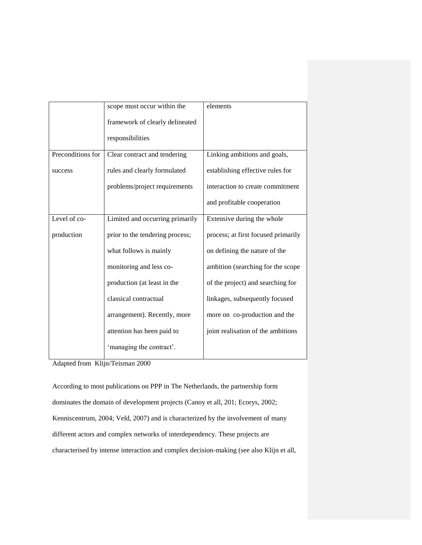|                   | scope must occur within the     | elements                            |  |
|-------------------|---------------------------------|-------------------------------------|--|
|                   | framework of clearly delineated |                                     |  |
|                   | responsibilities                |                                     |  |
| Preconditions for | Clear contract and tendering    | Linking ambitions and goals,        |  |
| success           | rules and clearly formulated    | establishing effective rules for    |  |
|                   | problems/project requirements   | interaction to create commitment    |  |
|                   |                                 | and profitable cooperation          |  |
| Level of co-      | Limited and occurring primarily | Extensive during the whole          |  |
| production        | prior to the tendering process; | process; at first focused primarily |  |
|                   | what follows is mainly          | on defining the nature of the       |  |
|                   | monitoring and less co-         | ambition (searching for the scope   |  |
|                   | production (at least in the     | of the project) and searching for   |  |
|                   | classical contractual           | linkages, subsequently focused      |  |
|                   | arrangement). Recently, more    | more on co-production and the       |  |
|                   | attention has been paid to      | joint realisation of the ambitions  |  |
|                   | 'managing the contract'.        |                                     |  |

Adapted from Klijn/Teisman 2000

According to most publications on PPP in The Netherlands, the partnership form dominates the domain of development projects (Canoy et all, 201; Ecorys, 2002; Kenniscentrum, 2004; Veld, 2007) and is characterized by the involvement of many different actors and complex networks of interdependency. These projects are characterised by intense interaction and complex decision-making (see also Klijn et all,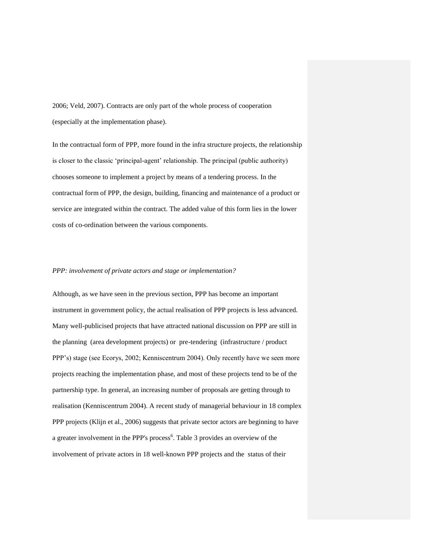2006; Veld, 2007). Contracts are only part of the whole process of cooperation (especially at the implementation phase).

In the contractual form of PPP, more found in the infra structure projects, the relationship is closer to the classic 'principal-agent' relationship. The principal (public authority) chooses someone to implement a project by means of a tendering process. In the contractual form of PPP, the design, building, financing and maintenance of a product or service are integrated within the contract. The added value of this form lies in the lower costs of co-ordination between the various components.

#### *PPP: involvement of private actors and stage or implementation?*

Although, as we have seen in the previous section, PPP has become an important instrument in government policy, the actual realisation of PPP projects is less advanced. Many well-publicised projects that have attracted national discussion on PPP are still in the planning (area development projects) or pre-tendering (infrastructure / product PPP's) stage (see Ecorys, 2002; Kenniscentrum 2004). Only recently have we seen more projects reaching the implementation phase, and most of these projects tend to be of the partnership type. In general, an increasing number of proposals are getting through to realisation (Kenniscentrum 2004). A recent study of managerial behaviour in 18 complex PPP projects (Klijn et al., 2006) suggests that private sector actors are beginning to have a greater involvement in the PPP's process<sup>6</sup>. Table 3 provides an overview of the involvement of private actors in 18 well-known PPP projects and the status of their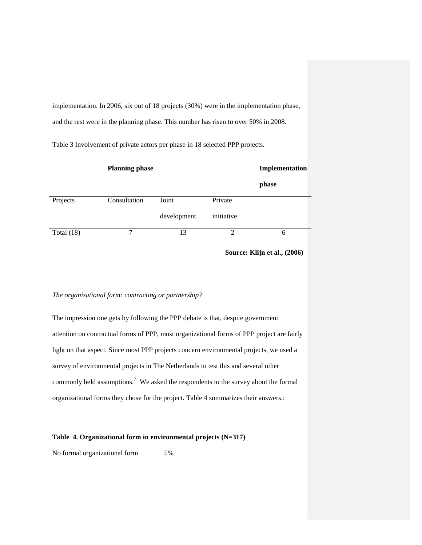implementation. In 2006, six out of 18 projects (30%) were in the implementation phase, and the rest were in the planning phase. This number has risen to over 50% in 2008.

Table 3 Involvement of private actors per phase in 18 selected PPP projects.

|              | <b>Planning phase</b> | Implementation |                             |       |
|--------------|-----------------------|----------------|-----------------------------|-------|
|              |                       |                |                             | phase |
| Projects     | Consultation          | Joint          | Private                     |       |
|              |                       | development    | initiative                  |       |
| Total $(18)$ | 7                     | 13             | $\mathcal{D}_{\mathcal{A}}$ | 6     |

**Source: Klijn et al., (2006)**

# *The organisational form: contracting or partnership?*

The impression one gets by following the PPP debate is that, despite government attention on contractual forms of PPP, most organizational forms of PPP project are fairly light on that aspect. Since most PPP projects concern environmental projects, we used a survey of environmental projects in The Netherlands to test this and several other commonly held assumptions.<sup>7</sup> We asked the respondents to the survey about the formal organizational forms they chose for the project. Table 4 summarizes their answers.:

## **Table 4. Organizational form in environmental projects (N=317)**

No formal organizational form 5%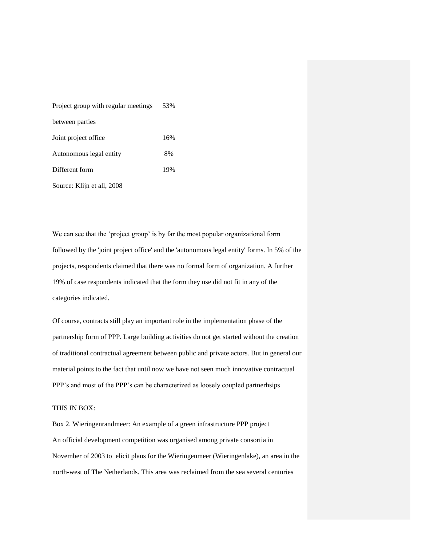| Project group with regular meetings | 53% |
|-------------------------------------|-----|
| between parties                     |     |
| Joint project office                | 16% |
| Autonomous legal entity             | 8%  |
| Different form                      | 19% |
| Source: Klijn et all, 2008          |     |

We can see that the 'project group' is by far the most popular organizational form followed by the 'joint project office' and the 'autonomous legal entity' forms. In 5% of the projects, respondents claimed that there was no formal form of organization. A further 19% of case respondents indicated that the form they use did not fit in any of the categories indicated.

Of course, contracts still play an important role in the implementation phase of the partnership form of PPP. Large building activities do not get started without the creation of traditional contractual agreement between public and private actors. But in general our material points to the fact that until now we have not seen much innovative contractual PPP's and most of the PPP's can be characterized as loosely coupled partnerhsips

### THIS IN BOX:

Box 2. Wieringenrandmeer: An example of a green infrastructure PPP project An official development competition was organised among private consortia in November of 2003 to elicit plans for the Wieringenmeer (Wieringenlake), an area in the north-west of The Netherlands. This area was reclaimed from the sea several centuries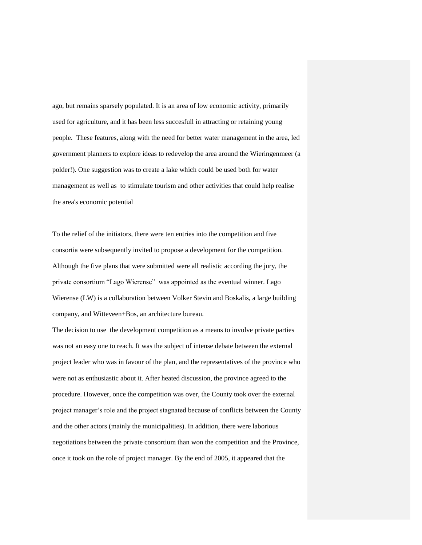ago, but remains sparsely populated. It is an area of low economic activity, primarily used for agriculture, and it has been less succesfull in attracting or retaining young people. These features, along with the need for better water management in the area, led government planners to explore ideas to redevelop the area around the Wieringenmeer (a polder!). One suggestion was to create a lake which could be used both for water management as well as to stimulate tourism and other activities that could help realise the area's economic potential

To the relief of the initiators, there were ten entries into the competition and five consortia were subsequently invited to propose a development for the competition. Although the five plans that were submitted were all realistic according the jury, the private consortium "Lago Wierense" was appointed as the eventual winner. Lago Wierense (LW) is a collaboration between Volker Stevin and Boskalis, a large building company, and Witteveen+Bos, an architecture bureau.

The decision to use the development competition as a means to involve private parties was not an easy one to reach. It was the subject of intense debate between the external project leader who was in favour of the plan, and the representatives of the province who were not as enthusiastic about it. After heated discussion, the province agreed to the procedure. However, once the competition was over, the County took over the external project manager's role and the project stagnated because of conflicts between the County and the other actors (mainly the municipalities). In addition, there were laborious negotiations between the private consortium than won the competition and the Province, once it took on the role of project manager. By the end of 2005, it appeared that the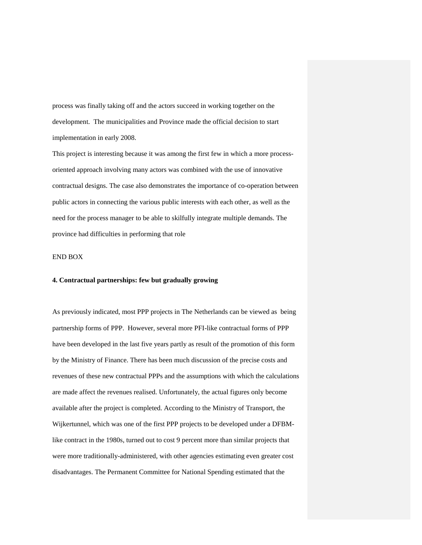process was finally taking off and the actors succeed in working together on the development. The municipalities and Province made the official decision to start implementation in early 2008.

This project is interesting because it was among the first few in which a more processoriented approach involving many actors was combined with the use of innovative contractual designs. The case also demonstrates the importance of co-operation between public actors in connecting the various public interests with each other, as well as the need for the process manager to be able to skilfully integrate multiple demands. The province had difficulties in performing that role

#### END BOX

## **4. Contractual partnerships: few but gradually growing**

As previously indicated, most PPP projects in The Netherlands can be viewed as being partnership forms of PPP. However, several more PFI-like contractual forms of PPP have been developed in the last five years partly as result of the promotion of this form by the Ministry of Finance. There has been much discussion of the precise costs and revenues of these new contractual PPPs and the assumptions with which the calculations are made affect the revenues realised. Unfortunately, the actual figures only become available after the project is completed. According to the Ministry of Transport, the Wijkertunnel, which was one of the first PPP projects to be developed under a DFBMlike contract in the 1980s, turned out to cost 9 percent more than similar projects that were more traditionally-administered, with other agencies estimating even greater cost disadvantages. The Permanent Committee for National Spending estimated that the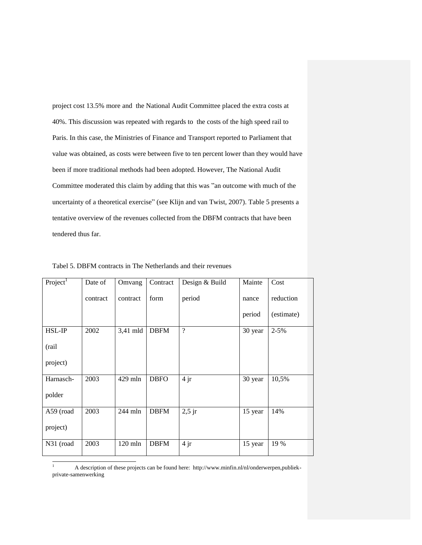project cost 13.5% more and the National Audit Committee placed the extra costs at 40%. This discussion was repeated with regards to the costs of the high speed rail to Paris. In this case, the Ministries of Finance and Transport reported to Parliament that value was obtained, as costs were between five to ten percent lower than they would have been if more traditional methods had been adopted. However, The National Audit Committee moderated this claim by adding that this was "an outcome with much of the uncertainty of a theoretical exercise" (see Klijn and van Twist, 2007). Table 5 presents a tentative overview of the revenues collected from the DBFM contracts that have been tendered thus far.

| Project <sup>1</sup> | Date of  | Omvang    | Contract    | Design & Build | Mainte  | Cost       |
|----------------------|----------|-----------|-------------|----------------|---------|------------|
|                      | contract | contract  | form        | period         | nance   | reduction  |
|                      |          |           |             |                | period  | (estimate) |
| HSL-IP               | 2002     | 3,41 mld  | <b>DBFM</b> | $\gamma$       | 30 year | $2 - 5%$   |
| (rail                |          |           |             |                |         |            |
| project)             |          |           |             |                |         |            |
| Harnasch-            | 2003     | 429 mln   | <b>DBFO</b> | 4jr            | 30 year | 10,5%      |
| polder               |          |           |             |                |         |            |
| A59 (road            | 2003     | 244 mln   | <b>DBFM</b> | $2,5$ jr       | 15 year | 14%        |
| project)             |          |           |             |                |         |            |
| N31 (road            | 2003     | $120$ mln | <b>DBFM</b> | 4jr            | 15 year | 19 %       |

Tabel 5. DBFM contracts in The Netherlands and their revenues

 $\mathbf{1}$ <sup>1</sup> A description of these projects can be found here: http://www.minfin.nl/nl/onderwerpen,publiekprivate-samenwerking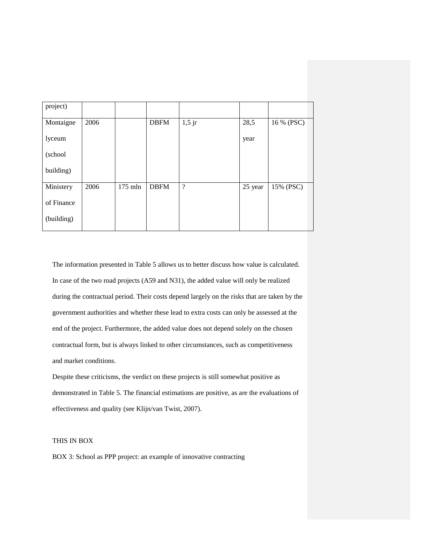| project)   |      |           |             |                          |         |            |
|------------|------|-----------|-------------|--------------------------|---------|------------|
| Montaigne  | 2006 |           | <b>DBFM</b> | $1,5$ jr                 | 28,5    | 16 % (PSC) |
| lyceum     |      |           |             |                          | year    |            |
| (school    |      |           |             |                          |         |            |
| building)  |      |           |             |                          |         |            |
| Ministery  | 2006 | $175$ mln | <b>DBFM</b> | $\overline{\mathcal{L}}$ | 25 year | 15% (PSC)  |
| of Finance |      |           |             |                          |         |            |
| (building) |      |           |             |                          |         |            |

The information presented in Table 5 allows us to better discuss how value is calculated. In case of the two road projects (A59 and N31), the added value will only be realized during the contractual period. Their costs depend largely on the risks that are taken by the government authorities and whether these lead to extra costs can only be assessed at the end of the project. Furthermore, the added value does not depend solely on the chosen contractual form, but is always linked to other circumstances, such as competitiveness and market conditions.

Despite these criticisms, the verdict on these projects is still somewhat positive as demonstrated in Table 5. The financial estimations are positive, as are the evaluations of effectiveness and quality (see Klijn/van Twist, 2007).

# THIS IN BOX

BOX 3: School as PPP project: an example of innovative contracting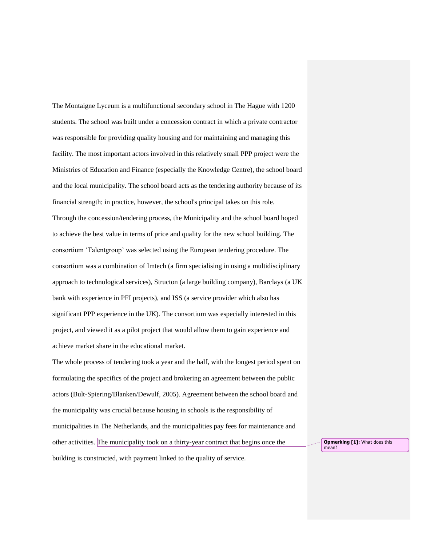The Montaigne Lyceum is a multifunctional secondary school in The Hague with 1200 students. The school was built under a concession contract in which a private contractor was responsible for providing quality housing and for maintaining and managing this facility. The most important actors involved in this relatively small PPP project were the Ministries of Education and Finance (especially the Knowledge Centre), the school board and the local municipality. The school board acts as the tendering authority because of its financial strength; in practice, however, the school's principal takes on this role. Through the concession/tendering process, the Municipality and the school board hoped to achieve the best value in terms of price and quality for the new school building. The consortium 'Talentgroup' was selected using the European tendering procedure. The consortium was a combination of Imtech (a firm specialising in using a multidisciplinary approach to technological services), Structon (a large building company), Barclays (a UK bank with experience in PFI projects), and ISS (a service provider which also has significant PPP experience in the UK). The consortium was especially interested in this project, and viewed it as a pilot project that would allow them to gain experience and achieve market share in the educational market.

The whole process of tendering took a year and the half, with the longest period spent on formulating the specifics of the project and brokering an agreement between the public actors (Bult-Spiering/Blanken/Dewulf, 2005). Agreement between the school board and the municipality was crucial because housing in schools is the responsibility of municipalities in The Netherlands, and the municipalities pay fees for maintenance and other activities. The municipality took on a thirty-year contract that begins once the building is constructed, with payment linked to the quality of service.

**Opmerking [1]:** What does this mean?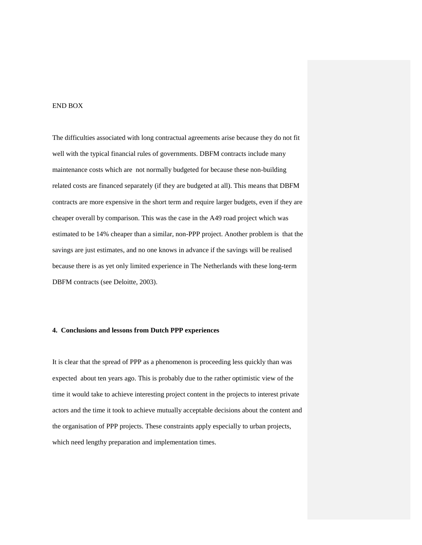#### END BOX

The difficulties associated with long contractual agreements arise because they do not fit well with the typical financial rules of governments. DBFM contracts include many maintenance costs which are not normally budgeted for because these non-building related costs are financed separately (if they are budgeted at all). This means that DBFM contracts are more expensive in the short term and require larger budgets, even if they are cheaper overall by comparison. This was the case in the A49 road project which was estimated to be 14% cheaper than a similar, non-PPP project. Another problem is that the savings are just estimates, and no one knows in advance if the savings will be realised because there is as yet only limited experience in The Netherlands with these long-term DBFM contracts (see Deloitte, 2003).

# **4. Conclusions and lessons from Dutch PPP experiences**

It is clear that the spread of PPP as a phenomenon is proceeding less quickly than was expected about ten years ago. This is probably due to the rather optimistic view of the time it would take to achieve interesting project content in the projects to interest private actors and the time it took to achieve mutually acceptable decisions about the content and the organisation of PPP projects. These constraints apply especially to urban projects, which need lengthy preparation and implementation times.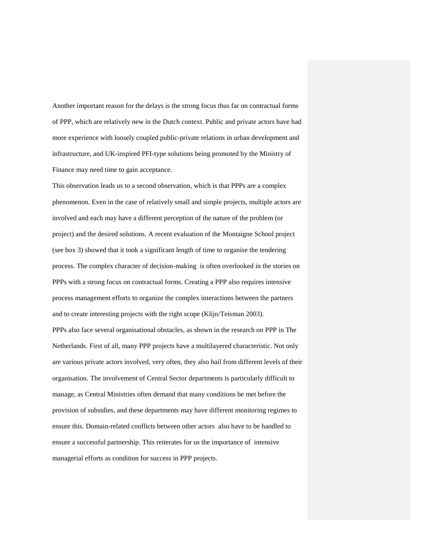Another important reason for the delays is the strong focus thus far on contractual forms of PPP, which are relatively new in the Dutch context. Public and private actors have had more experience with loosely coupled public-private relations in urban development and infrastructure, and UK-inspired PFI-type solutions being promoted by the Ministry of Finance may need time to gain acceptance.

This observation leads us to a second observation, which is that PPPs are a complex phenomenon. Even in the case of relatively small and simple projects, multiple actors are involved and each may have a different perception of the nature of the problem (or project) and the desired solutions. A recent evaluation of the Montaigne School project (see box 3) showed that it took a significant length of time to organise the tendering process. The complex character of decision-making is often overlooked in the stories on PPPs with a strong focus on contractual forms. Creating a PPP also requires intensive process management efforts to organize the complex interactions between the partners and to create interesting projects with the right scope (Klijn/Teisman 2003). PPPs also face several organisational obstacles, as shown in the research on PPP in The Netherlands. First of all, many PPP projects have a multilayered characteristic. Not only are various private actors involved, very often, they also hail from different levels of their organisation. The involvement of Central Sector departments is particularly difficult to manage, as Central Ministries often demand that many conditions be met before the provision of subsidies, and these departments may have different monitoring regimes to ensure this. Domain-related conflicts between other actors also have to be handled to ensure a successful partnership. This reiterates for us the importance of intensive managerial efforts as condition for success in PPP projects.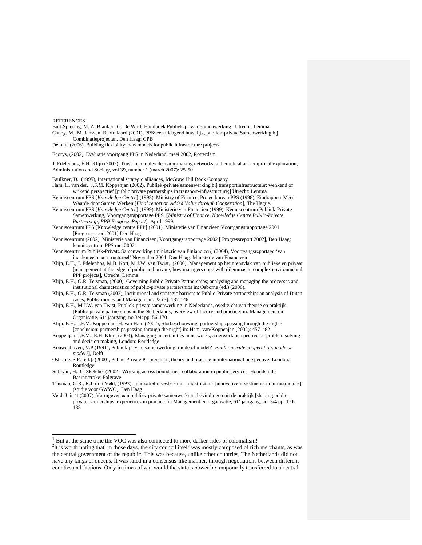**REFERENCES** 

l

Bult-Spiering, M. A. Blanken, G. De Wulf, Handboek Publiek-private samenwerking, Utrecht: Lemma Canoy, M., M. Janssen, B. Vollaard (2001), PPS: een uidagend huwelijk, publiek-private Samenwerking bij Combinatieprojecten, Den Haag: CPB

Deloitte (2006), Building flexibility; new models for public infrastructure projects

Ecorys, (2002), Evaluatie voortgang PPS in Nederland, meei 2002, Rotterdam

J. Edelenbos, E.H. Klijn (2007), Trust in complex decision-making networks; a theoretical and empirical exploration, Administration and Society, vol 39, number 1 (march 2007): 25-50

Faulkner, D., (1995), International strategic alliances, McGraw Hill Book Company.

Ham, H. van der, J.F.M. Koppenjan (2002), Publiek-private samenwerking bij transportinfrastructuur; wenkend of wijkend perspectief [public private partnerships in transport-infrastructure;] Utrecht: Lemma

Kenniscentrum PPS [*Knowledge Centre*] (1998), Ministry of Finance, Projectbureau PPS (1998), Eindrapport Meer Waarde door Samen Werken [*Final report on Added Value through Cooperation*], The Hague.

Kenniscentrum PPS [*Knowledge Centre*] (1999), Ministerie van Financiën (1999), Kenniscentrum Publiek-Private Samenwerking, Voortgangsrapportage PPS, [*Ministry of Finance, Knowledge Centre Public-Private Partnership, PPP Progress Report*], April 1999.

Kenniscentrum PPS [Knowledge centre PPP] (2001), Ministerie van Financieen Voortgangsrapportage 2001 [Progressreport 2001] Den Haag

Kenniscentrum (2002), Ministerie van Financieen, Voortgangsrapportage 2002 [ Progressreport 2002], Den Haag: kenniscentrum PPS mei 2002

Kenniscenrtrum Publiek-Private Samenwerking (ministerie van Finiancieen) (2004), Voortgangsreportage 'van incidenteel naar structureel' November 2004, Den Haag: Ministerie van Financieen

Klijn, E.H., J. Edelenbos, M.B. Kort, M.J.W. van Twist, (2006), Management op het grensvlak van publieke en privaat [management at the edge of public and private; how managers cope with dilemmas in complex environmental PPP projects], Utrecht: Lemma

Klijn, E.H., G.R. Teisman, (2000), Governing Public-Private Partnerships; analysing and managing the processes and institutional characteristics of public-private partnerships in: Osborne (ed.) (2000).

Klijn, E.H., G.R. Teisman (2003), Institutional and strategic barriers to Public-Private partnership: an analysis of Dutch cases, Public money and Management, 23 (3): 137-146

Klijn, E.H., M.J.W. van Twist, Publiek-private samenwerking in Nederlands, ovedrzicht van theorie en praktijk [Public-private partnerships in the Netherlands; overview of theory and practice] in: Management en Organisatie, 61<sup>e</sup> jaargang, no.3/4: pp156-170

Klijn, E.H., J.F.M. Koppenjan, H. van Ham (2002), Slotbeschouwing: partnerships passing through the night? [conclusion: partnerships passing through the night] in: Ham, van/Koppenjan (2002): 457-482

Koppenjan, J.F.M., E.H. Klijn, (2004), Managing uncertainties in networks; a network perspective on problem solving and decision making, London: Routledge

Kouwenhoven, V.P (1991), Publiek-private samenwerking: mode of model? [*Public-private cooperation: mode or model?*], Delft.

Osborne, S.P. (ed.), (2000), Public-Private Partnerships; theory and practice in international perspective, London: Routledge.

Sullivan, H., C. Skelcher (2002), Working across boundaries; collaboration in public services, Houndsmills Basingstroke: Palgrave

Teisman, G.R., R.J. in 't Veld, (1992), Innovatief investeren in infrastructuur [innovative investments in infrastructure] (studie voor GWWO), Den Haag

Veld, J. in 't (2007), Vormgeven aan publiek-private samenwerking; bevindingen uit de praktijk [shaping publicprivate partnerships, experiences in practice] in Management en organisatie, 61<sup>e</sup> jaargang, no. 3/4 pp. 171-188

<sup>1</sup> But at the same time the VOC was also connected to more darker sides of colonialism!

<sup>&</sup>lt;sup>2</sup>It is worth noting that, in those days, the city council itself was mostly composed of rich merchants, as was the central government of the republic. This was because, unlike other countries, The Netherlands did not have any kings or queens. It was ruled in a consensus-like manner, through negotiations between different counties and factions. Only in times of war would the state's power be temporarily transferred to a central